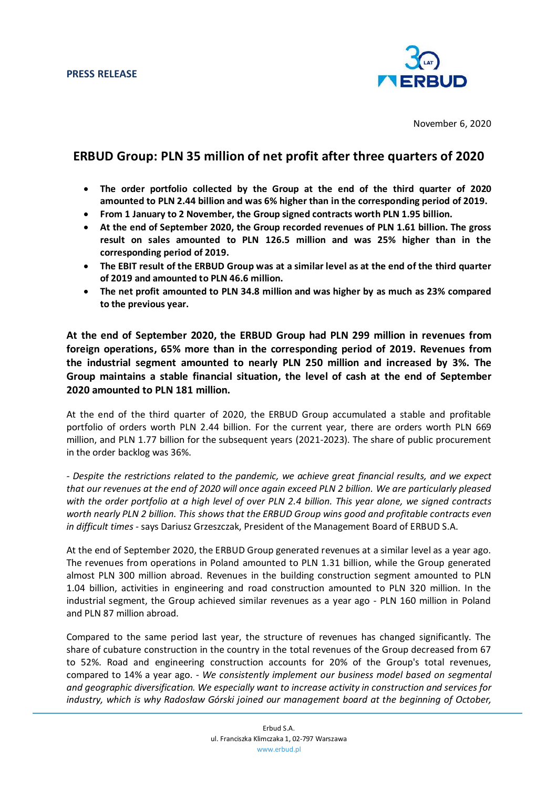

November 6, 2020

## **ERBUD Group: PLN 35 million of net profit after three quarters of 2020**

- **The order portfolio collected by the Group at the end of the third quarter of 2020 amounted to PLN 2.44 billion and was 6% higher than in the corresponding period of 2019.**
- **From 1 January to 2 November, the Group signed contracts worth PLN 1.95 billion.**
- **At the end of September 2020, the Group recorded revenues of PLN 1.61 billion. The gross result on sales amounted to PLN 126.5 million and was 25% higher than in the corresponding period of 2019.**
- **The EBIT result of the ERBUD Group was at a similar level as at the end of the third quarter of 2019 and amounted to PLN 46.6 million.**
- **The net profit amounted to PLN 34.8 million and was higher by as much as 23% compared to the previous year.**

**At the end of September 2020, the ERBUD Group had PLN 299 million in revenues from foreign operations, 65% more than in the corresponding period of 2019. Revenues from the industrial segment amounted to nearly PLN 250 million and increased by 3%. The Group maintains a stable financial situation, the level of cash at the end of September 2020 amounted to PLN 181 million.** 

At the end of the third quarter of 2020, the ERBUD Group accumulated a stable and profitable portfolio of orders worth PLN 2.44 billion. For the current year, there are orders worth PLN 669 million, and PLN 1.77 billion for the subsequent years (2021-2023). The share of public procurement in the order backlog was 36%.

*- Despite the restrictions related to the pandemic, we achieve great financial results, and we expect that our revenues at the end of 2020 will once again exceed PLN 2 billion. We are particularly pleased with the order portfolio at a high level of over PLN 2.4 billion. This year alone, we signed contracts worth nearly PLN 2 billion. This shows that the ERBUD Group wins good and profitable contracts even in difficult times* - says Dariusz Grzeszczak, President of the Management Board of ERBUD S.A.

At the end of September 2020, the ERBUD Group generated revenues at a similar level as a year ago. The revenues from operations in Poland amounted to PLN 1.31 billion, while the Group generated almost PLN 300 million abroad. Revenues in the building construction segment amounted to PLN 1.04 billion, activities in engineering and road construction amounted to PLN 320 million. In the industrial segment, the Group achieved similar revenues as a year ago - PLN 160 million in Poland and PLN 87 million abroad.

Compared to the same period last year, the structure of revenues has changed significantly. The share of cubature construction in the country in the total revenues of the Group decreased from 67 to 52%. Road and engineering construction accounts for 20% of the Group's total revenues, compared to 14% a year ago. *- We consistently implement our business model based on segmental and geographic diversification. We especially want to increase activity in construction and services for industry, which is why Radosław Górski joined our management board at the beginning of October,*